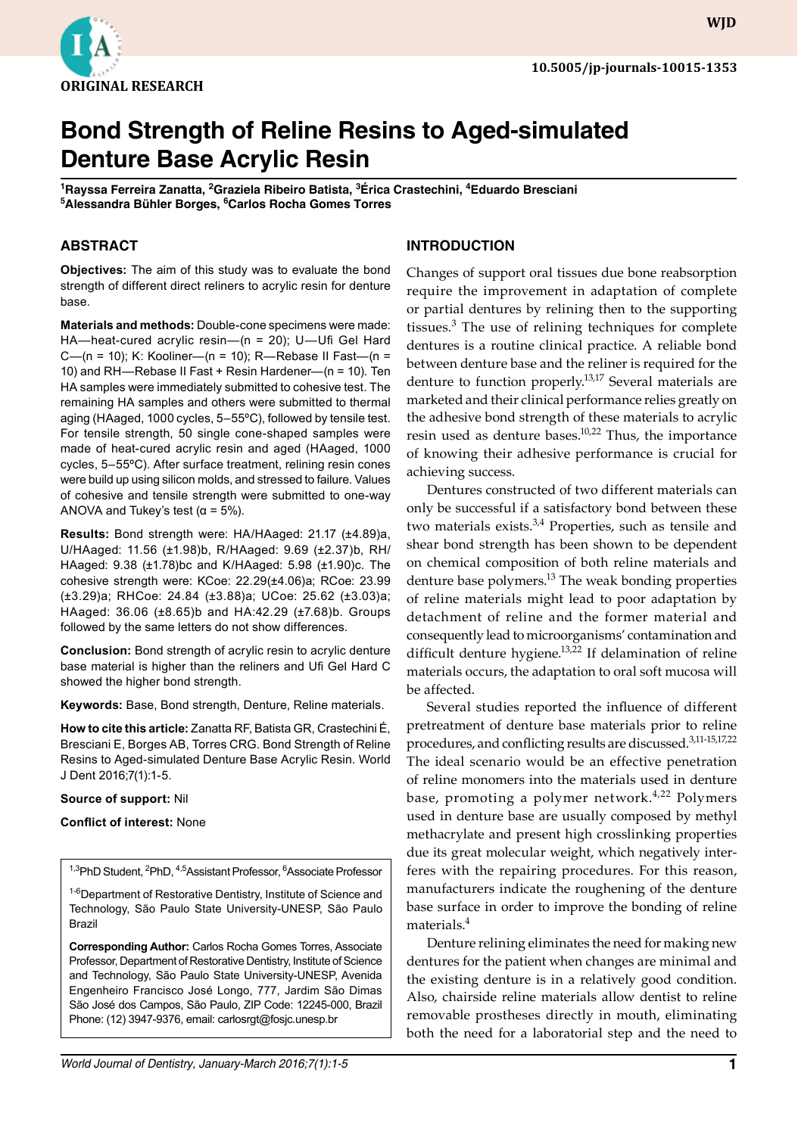

**WJD**

# **Bond Strength of Reline Resins to Aged-simulated Denture Base Acrylic Resin**

**<sup>1</sup>Rayssa Ferreira Zanatta, 2Graziela Ribeiro Batista, 3Érica Crastechini, 4Eduardo Bresciani <sup>5</sup>Alessandra Bühler Borges, 6Carlos Rocha Gomes Torres**

#### **ABSTRACT**

**Objectives:** The aim of this study was to evaluate the bond strength of different direct reliners to acrylic resin for denture base.

**Materials and methods:** Double-cone specimens were made: HA—heat-cured acrylic resin—(n = 20); U—Ufi Gel Hard C—(n = 10); K: Kooliner—(n = 10); R—Rebase II Fast—(n = 10) and RH—Rebase II Fast + Resin Hardener—(n = 10). Ten HA samples were immediately submitted to cohesive test. The remaining HA samples and others were submitted to thermal aging (HAaged, 1000 cycles, 5–55ºC), followed by tensile test. For tensile strength, 50 single cone-shaped samples were made of heat-cured acrylic resin and aged (HAaged, 1000 cycles, 5–55ºC). After surface treatment, relining resin cones were build up using silicon molds, and stressed to failure. Values of cohesive and tensile strength were submitted to one-way ANOVA and Tukey's test ( $\alpha$  = 5%).

**Results:** Bond strength were: HA/HAaged: 21.17 (±4.89)a, U/HAaged: 11.56 (±1.98)b, R/HAaged: 9.69 (±2.37)b, RH/ HAaged: 9.38 (±1.78)bc and K/HAaged: 5.98 (±1.90)c. The cohesive strength were: KCoe: 22.29(±4.06)a; RCoe: 23.99 (±3.29)a; RHCoe: 24.84 (±3.88)a; UCoe: 25.62 (±3.03)a; HAaged: 36.06 (±8.65)b and HA:42.29 (±7.68)b. Groups followed by the same letters do not show differences.

**Conclusion:** Bond strength of acrylic resin to acrylic denture base material is higher than the reliners and Ufi Gel Hard C showed the higher bond strength.

**Keywords:** Base, Bond strength, Denture, Reline materials.

**How to cite this article:** Zanatta RF, Batista GR, Crastechini É, Bresciani E, Borges AB, Torres CRG. Bond Strength of Reline Resins to Aged-simulated Denture Base Acrylic Resin. World J Dent 2016;7(1):1-5.

#### **Source of support:** Nil

#### **Conflict of interest:** None

<sup>1,3</sup>PhD Student, <sup>2</sup>PhD, <sup>4,5</sup>Assistant Professor, <sup>6</sup>Associate Professor

<sup>1-6</sup>Department of Restorative Dentistry, Institute of Science and Technology, São Paulo State University-UNESP, São Paulo Brazil

**Corresponding Author:** Carlos Rocha Gomes Torres, Associate Professor, Department of Restorative Dentistry, Institute of Science and Technology, São Paulo State University-UNESP, Avenida Engenheiro Francisco José Longo, 777, Jardim São Dimas São José dos Campos, São Paulo, ZIP Code: 12245-000, Brazil Phone: (12) 3947-9376, email: carlosrgt@fosjc.unesp.br

# **INTRODUCTION**

Changes of support oral tissues due bone reabsorption require the improvement in adaptation of complete or partial dentures by relining then to the supporting tissues.<sup>3</sup> The use of relining techniques for complete dentures is a routine clinical practice. A reliable bond between denture base and the reliner is required for the denture to function properly.<sup>13,17</sup> Several materials are marketed and their clinical performance relies greatly on the adhesive bond strength of these materials to acrylic resin used as denture bases.<sup>10,22</sup> Thus, the importance of knowing their adhesive performance is crucial for achieving success.

Dentures constructed of two different materials can only be successful if a satisfactory bond between these two materials exists.<sup>3,4</sup> Properties, such as tensile and shear bond strength has been shown to be dependent on chemical composition of both reline materials and denture base polymers.<sup>13</sup> The weak bonding properties of reline materials might lead to poor adaptation by detachment of reline and the former material and consequently lead to microorganisms' contamination and difficult denture hygiene.<sup>13,22</sup> If delamination of reline materials occurs, the adaptation to oral soft mucosa will be affected.

Several studies reported the influence of different pretreatment of denture base materials prior to reline procedures, and conflicting results are discussed.3,11-15,17,22 The ideal scenario would be an effective penetration of reline monomers into the materials used in denture base, promoting a polymer network.<sup>4,22</sup> Polymers used in denture base are usually composed by methyl methacrylate and present high crosslinking properties due its great molecular weight, which negatively interferes with the repairing procedures. For this reason, manu facturers indicate the roughening of the denture base surface in order to improve the bonding of reline materials.<sup>4</sup>

Denture relining eliminates the need for making new dentures for the patient when changes are minimal and the existing denture is in a relatively good condition. Also, chairside reline materials allow dentist to reline removable prostheses directly in mouth, eliminating both the need for a laboratorial step and the need to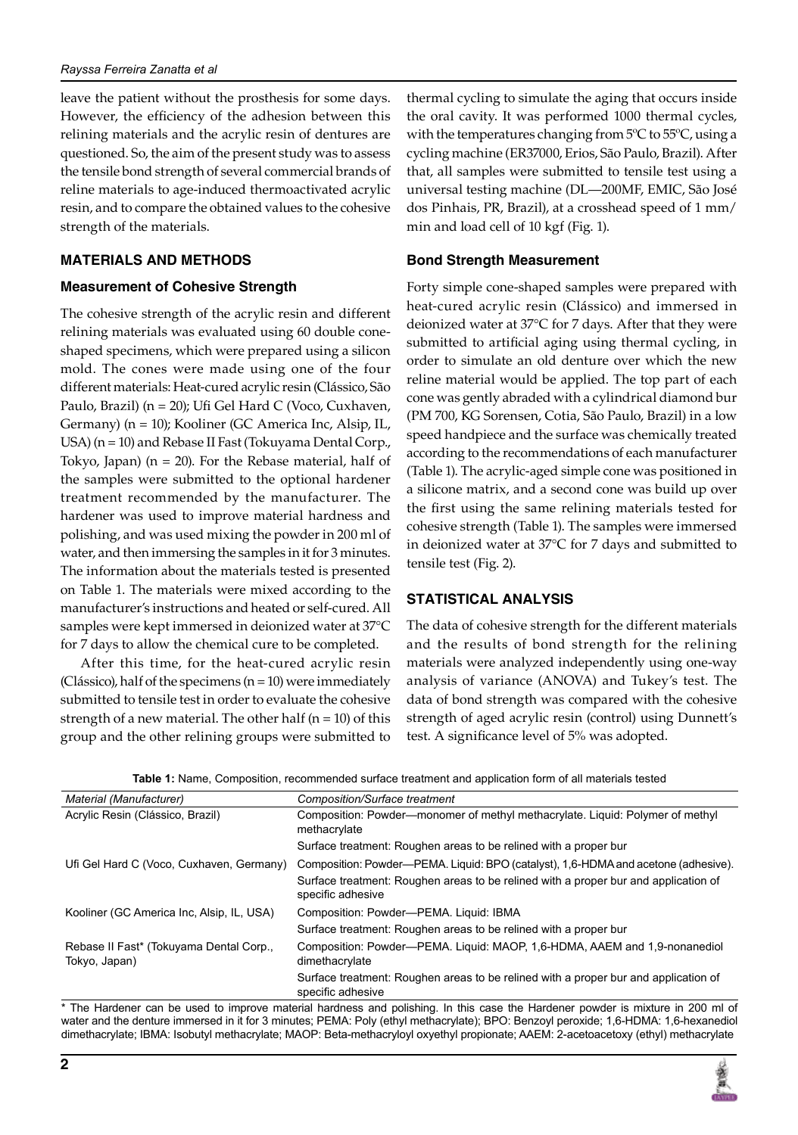leave the patient without the prosthesis for some days. However, the efficiency of the adhesion between this relining materials and the acrylic resin of dentures are questioned. So, the aim of the present study was to assess the tensile bond strength of several commercial brands of reline materials to age-induced thermoactivated acrylic resin, and to compare the obtained values to the cohesive strength of the materials.

#### **MATERIALS AND METHODS**

#### **Measurement of Cohesive Strength**

The cohesive strength of the acrylic resin and different relining materials was evaluated using 60 double coneshaped specimens, which were prepared using a silicon mold. The cones were made using one of the four different materials: Heat-cured acrylic resin (Clássico, São Paulo, Brazil) (n = 20); Ufi Gel Hard C (Voco, Cuxhaven, Germany) (n = 10); Kooliner (GC America Inc, Alsip, IL, USA) (n = 10) and Rebase II Fast (Tokuyama Dental Corp., Tokyo, Japan)  $(n = 20)$ . For the Rebase material, half of the samples were submitted to the optional hardener treatment recommended by the manufacturer. The hardener was used to improve material hardness and polishing, and was used mixing the powder in 200 ml of water, and then immersing the samples in it for 3 minutes. The information about the materials tested is presented on Table 1. The materials were mixed according to the manufacturer's instructions and heated or self-cured. All samples were kept immersed in deionized water at 37°C for 7 days to allow the chemical cure to be completed.

After this time, for the heat-cured acrylic resin (Clássico), half of the specimens (n = 10) were immediately submitted to tensile test in order to evaluate the cohesive strength of a new material. The other half  $(n = 10)$  of this group and the other relining groups were submitted to

thermal cycling to simulate the aging that occurs inside the oral cavity. It was performed 1000 thermal cycles, with the temperatures changing from 5ºC to 55ºC, using a cycling machine (ER37000, Erios, São Paulo, Brazil). After that, all samples were submitted to tensile test using a universal testing machine (DL—200MF, EMIC, São José dos Pinhais, PR, Brazil), at a crosshead speed of 1 mm/ min and load cell of 10 kgf (Fig. 1).

#### **Bond Strength Measurement**

Forty simple cone-shaped samples were prepared with heat-cured acrylic resin (Clássico) and immersed in deionized water at 37°C for 7 days. After that they were submitted to artificial aging using thermal cycling, in order to simulate an old denture over which the new reline material would be applied. The top part of each cone was gently abraded with a cylindrical diamond bur (PM 700, KG Sorensen, Cotia, São Paulo, Brazil) in a low speed handpiece and the surface was chemically treated according to the recommendations of each manufacturer (Table 1). The acrylic-aged simple cone was positioned in a silicone matrix, and a second cone was build up over the first using the same relining materials tested for cohesive strength (Table 1). The samples were immersed in deionized water at 37°C for 7 days and submitted to tensile test (Fig. 2).

# **STATISTICAL ANALYSIS**

The data of cohesive strength for the different materials and the results of bond strength for the relining materials were analyzed independently using one-way analysis of variance (ANOVA) and Tukey's test. The data of bond strength was compared with the cohesive strength of aged acrylic resin (control) using Dunnett's test. A significance level of 5% was adopted.

| Table 1: Name, Composition, recommended surface treatment and application form of all materials tested |  |
|--------------------------------------------------------------------------------------------------------|--|
|--------------------------------------------------------------------------------------------------------|--|

| Material (Manufacturer)                                  | Composition/Surface treatment                                                                            |
|----------------------------------------------------------|----------------------------------------------------------------------------------------------------------|
| Acrylic Resin (Clássico, Brazil)                         | Composition: Powder—monomer of methyl methacrylate. Liquid: Polymer of methyl<br>methacrylate            |
|                                                          | Surface treatment: Roughen areas to be relined with a proper bur                                         |
| Ufi Gel Hard C (Voco, Cuxhaven, Germany)                 | Composition: Powder—PEMA. Liquid: BPO (catalyst), 1,6-HDMA and acetone (adhesive).                       |
|                                                          | Surface treatment: Roughen areas to be relined with a proper bur and application of<br>specific adhesive |
| Kooliner (GC America Inc. Alsip. IL, USA)                | Composition: Powder-PEMA. Liquid: IBMA                                                                   |
|                                                          | Surface treatment: Roughen areas to be relined with a proper bur                                         |
| Rebase II Fast* (Tokuyama Dental Corp.,<br>Tokyo, Japan) | Composition: Powder-PEMA. Liquid: MAOP, 1,6-HDMA, AAEM and 1,9-nonanediol<br>dimethacrylate              |
|                                                          | Surface treatment: Roughen areas to be relined with a proper bur and application of<br>specific adhesive |

\* The Hardener can be used to improve material hardness and polishing. In this case the Hardener powder is mixture in 200 ml of water and the denture immersed in it for 3 minutes; PEMA: Poly (ethyl methacrylate); BPO: Benzoyl peroxide; 1,6-HDMA: 1,6-hexanediol dimethacrylate; IBMA: Isobutyl methacrylate; MAOP: Beta-methacryloyl oxyethyl propionate; AAEM: 2-acetoacetoxy (ethyl) methacrylate

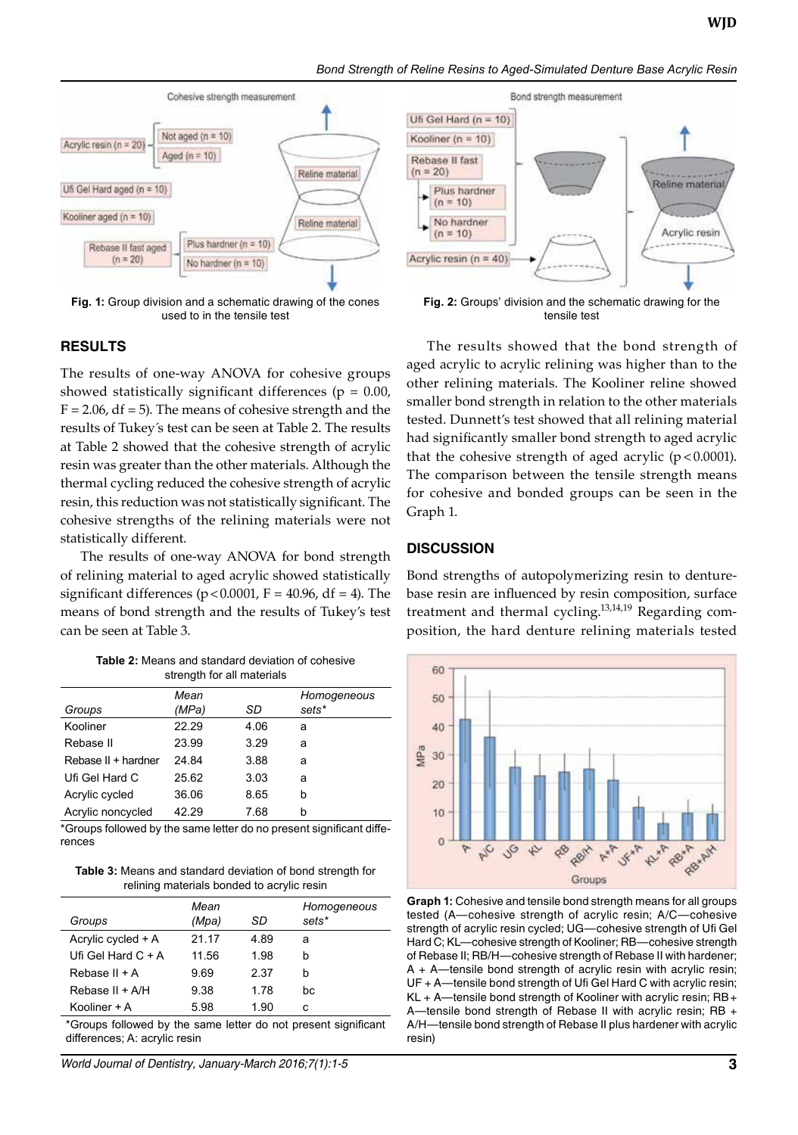*Bond Strength of Reline Resins to Aged-Simulated Denture Base Acrylic Resin*



**Fig. 1:** Group division and a schematic drawing of the cones used to in the tensile test

#### **RESULTS**

The results of one-way ANOVA for cohesive groups showed statistically significant differences ( $p = 0.00$ ,  $F = 2.06$ , df = 5). The means of cohesive strength and the results of Tukey´s test can be seen at Table 2. The results at Table 2 showed that the cohesive strength of acrylic resin was greater than the other materials. Although the thermal cycling reduced the cohesive strength of acrylic resin, this reduction was not statistically significant. The cohesive strengths of the relining materials were not statistically different.

The results of one-way ANOVA for bond strength of relining material to aged acrylic showed statistically significant differences ( $p < 0.0001$ ,  $F = 40.96$ , df = 4). The means of bond strength and the results of Tukey's test can be seen at Table 3.

**Table 2:** Means and standard deviation of cohesive strength for all materials

| Groups              | Mean<br>(MPa) | SD   | Homogeneous<br>sets* |
|---------------------|---------------|------|----------------------|
|                     |               |      |                      |
| Kooliner            | 22.29         | 4.06 | a                    |
| Rebase II           | 23.99         | 3.29 | a                    |
| Rebase II + hardner | 24.84         | 3.88 | a                    |
| Ufi Gel Hard C      | 25.62         | 3.03 | a                    |
| Acrylic cycled      | 36.06         | 8.65 | b                    |
| Acrylic noncycled   | 42.29         | 7.68 | b                    |

\*Groups followed by the same letter do no present significant differences

**Table 3:** Means and standard deviation of bond strength for relining materials bonded to acrylic resin

| Groups               | Mean<br>(Mpa) | SD   | Homogeneous<br>sets* |
|----------------------|---------------|------|----------------------|
| Acrylic cycled + A   | 21.17         | 4.89 | a                    |
| Ufi Gel Hard $C + A$ | 11.56         | 1.98 | h                    |
| Rebase $II + A$      | 9.69          | 2.37 | h                    |
| Rebase $II + A/H$    | 9.38          | 1.78 | bc                   |
| Kooliner $+A$        | 5.98          | 1.90 | c                    |

\*Groups followed by the same letter do not present significant differences; A: acrylic resin

World Journal of Dentistry, January-March 2016;7(1):1-5 **3**



**Fig. 2:** Groups' division and the schematic drawing for the tensile test

The results showed that the bond strength of aged acrylic to acrylic relining was higher than to the other relining materials. The Kooliner reline showed smaller bond strength in relation to the other materials tested. Dunnett's test showed that all relining material had significantly smaller bond strength to aged acrylic that the cohesive strength of aged acrylic  $(p < 0.0001)$ . The comparison between the tensile strength means for cohesive and bonded groups can be seen in the Graph 1.

#### **DISCUSSION**

Bond strengths of autopolymerizing resin to denturebase resin are influenced by resin composition, surface treatment and thermal cycling.<sup>13,14,19</sup> Regarding composition, the hard denture relining materials tested



**Graph 1:** Cohesive and tensile bond strength means for all groups tested (A—cohesive strength of acrylic resin; A/C—cohesive strength of acrylic resin cycled; UG—cohesive strength of Ufi Gel Hard C; KL—cohesive strength of Kooliner; RB—cohesive strength of Rebase II; RB/H—cohesive strength of Rebase II with hardener; A + A—tensile bond strength of acrylic resin with acrylic resin; UF + A—tensile bond strength of Ufi Gel Hard C with acrylic resin; KL + A—tensile bond strength of Kooliner with acrylic resin; RB + A-tensile bond strength of Rebase II with acrylic resin; RB + A/H—tensile bond strength of Rebase II plus hardener with acrylic resin)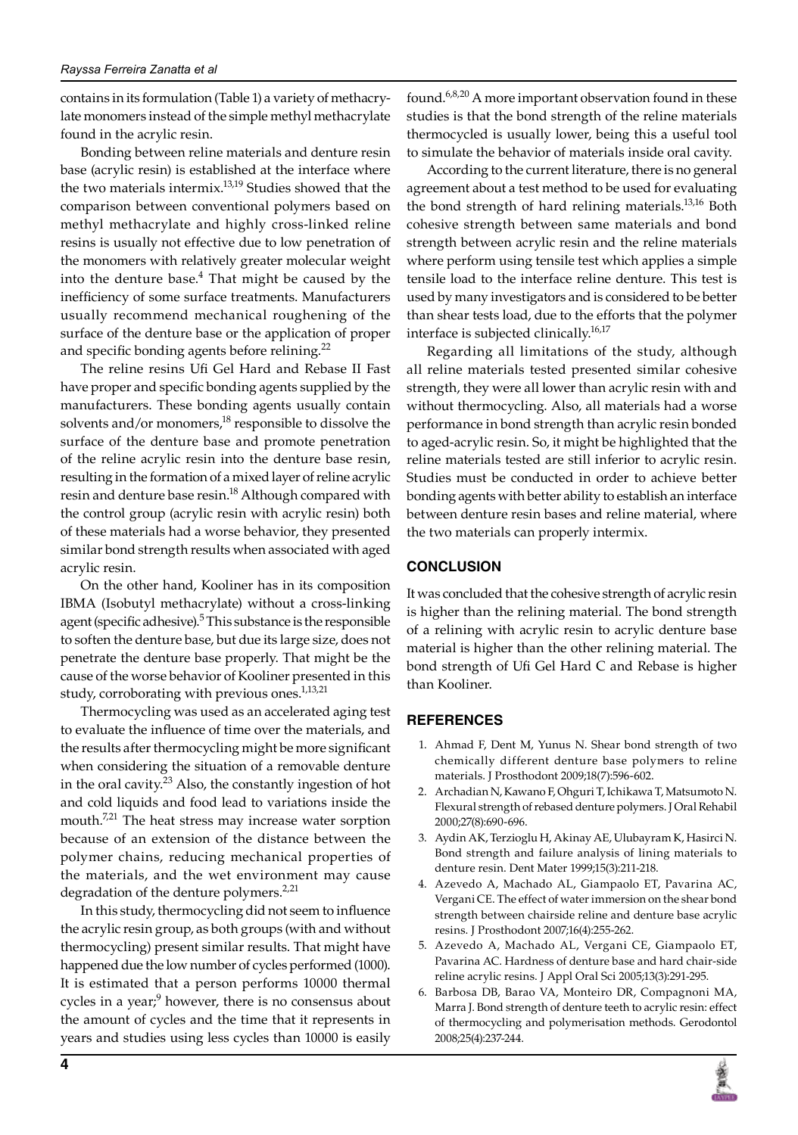contains in its formulation (Table 1) a variety of methacrylate monomers instead of the simple methyl methacrylate found in the acrylic resin.

Bonding between reline materials and denture resin base (acrylic resin) is established at the interface where the two materials intermix.<sup>13,19</sup> Studies showed that the comparison between conventional polymers based on methyl methacrylate and highly cross-linked reline resins is usually not effective due to low penetration of the monomers with relatively greater molecular weight into the denture base.<sup>4</sup> That might be caused by the inefficiency of some surface treatments. Manufacturers usually recommend mechanical roughening of the surface of the denture base or the application of proper and specific bonding agents before relining. $^{22}$ 

The reline resins Ufi Gel Hard and Rebase II Fast have proper and specific bonding agents supplied by the manufacturers. These bonding agents usually contain solvents and/or monomers,<sup>18</sup> responsible to dissolve the surface of the denture base and promote penetration of the reline acrylic resin into the denture base resin, resulting in the formation of a mixed layer of reline acrylic resin and denture base resin.<sup>18</sup> Although compared with the control group (acrylic resin with acrylic resin) both of these materials had a worse behavior, they presented similar bond strength results when associated with aged acrylic resin.

On the other hand, Kooliner has in its composition IBMA (Isobutyl methacrylate) without a cross-linking agent (specific adhesive).<sup>5</sup> This substance is the responsible to soften the denture base, but due its large size, does not penetrate the denture base properly. That might be the cause of the worse behavior of Kooliner presented in this study, corroborating with previous ones.<sup>1,13,21</sup>

Thermocycling was used as an accelerated aging test to evaluate the influence of time over the materials, and the results after thermocycling might be more significant when considering the situation of a removable denture in the oral cavity.<sup>23</sup> Also, the constantly ingestion of hot and cold liquids and food lead to variations inside the mouth.<sup>7,21</sup> The heat stress may increase water sorption because of an extension of the distance between the polymer chains, reducing mechanical properties of the materials, and the wet environment may cause degradation of the denture polymers. $2,21$ 

In this study, thermocycling did not seem to influence the acrylic resin group, as both groups (with and without thermocycling) present similar results. That might have happened due the low number of cycles performed (1000). It is estimated that a person performs 10000 thermal cycles in a year, $9$  however, there is no consensus about the amount of cycles and the time that it represents in years and studies using less cycles than 10000 is easily

found.<sup>6,8,20</sup> A more important observation found in these studies is that the bond strength of the reline materials thermocycled is usually lower, being this a useful tool to simulate the behavior of materials inside oral cavity.

According to the current literature, there is no general agreement about a test method to be used for evaluating the bond strength of hard relining materials.<sup>13,16</sup> Both cohesive strength between same materials and bond strength between acrylic resin and the reline materials where perform using tensile test which applies a simple tensile load to the interface reline denture. This test is used by many investigators and is considered to be better than shear tests load, due to the efforts that the polymer interface is subjected clinically.16,17

Regarding all limitations of the study, although all reline materials tested presented similar cohesive strength, they were all lower than acrylic resin with and without thermocycling. Also, all materials had a worse performance in bond strength than acrylic resin bonded to aged-acrylic resin. So, it might be highlighted that the reline materials tested are still inferior to acrylic resin. Studies must be conducted in order to achieve better bonding agents with better ability to establish an interface between denture resin bases and reline material, where the two materials can properly intermix.

# **CONCLUSION**

It was concluded that the cohesive strength of acrylic resin is higher than the relining material. The bond strength of a relining with acrylic resin to acrylic denture base material is higher than the other relining material. The bond strength of Ufi Gel Hard C and Rebase is higher than Kooliner.

# **REFERENCES**

- 1. Ahmad F, Dent M, Yunus N. Shear bond strength of two chemically different denture base polymers to reline materials. J Prosthodont 2009;18(7):596-602.
- 2. Archadian N, Kawano F, Ohguri T, Ichikawa T, Matsumoto N. Flexural strength of rebased denture polymers. J Oral Rehabil 2000;27(8):690-696.
- 3. Aydin AK, Terzioglu H, Akinay AE, Ulubayram K, Hasirci N. Bond strength and failure analysis of lining materials to denture resin. Dent Mater 1999;15(3):211-218.
- 4. Azevedo A, Machado AL, Giampaolo ET, Pavarina AC, Vergani CE. The effect of water immersion on the shear bond strength between chairside reline and denture base acrylic resins. J Prosthodont 2007;16(4):255-262.
- 5. Azevedo A, Machado AL, Vergani CE, Giampaolo ET, Pavarina AC. Hardness of denture base and hard chair-side reline acrylic resins. J Appl Oral Sci 2005;13(3):291-295.
- 6. Barbosa DB, Barao VA, Monteiro DR, Compagnoni MA, Marra J. Bond strength of denture teeth to acrylic resin: effect of thermocycling and polymerisation methods. Gerodontol 2008;25(4):237-244.